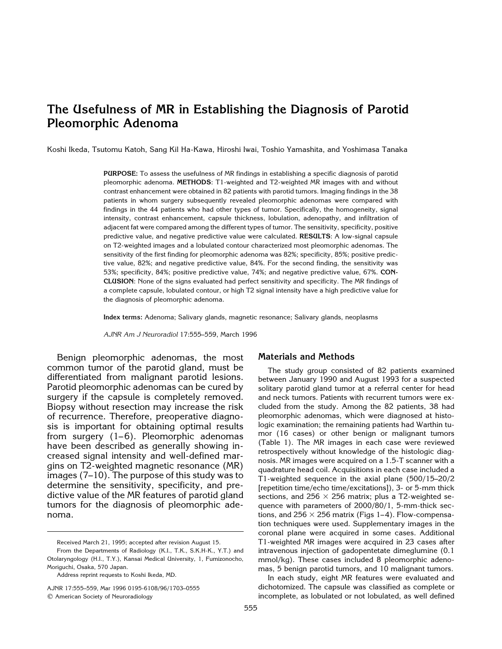# **The Usefulness of MR in Establishing the Diagnosis of Parotid Pleomorphic Adenoma**

Koshi Ikeda, Tsutomu Katoh, Sang Kil Ha-Kawa, Hiroshi Iwai, Toshio Yamashita, and Yoshimasa Tanaka

**PURPOSE:** To assess the usefulness of MR findings in establishing a specific diagnosis of parotid pleomorphic adenoma. **METHODS**: T1-weighted and T2-weighted MR images with and without contrast enhancement were obtained in 82 patients with parotid tumors. Imaging findings in the 38 patients in whom surgery subsequently revealed pleomorphic adenomas were compared with findings in the 44 patients who had other types of tumor. Specifically, the homogeneity, signal intensity, contrast enhancement, capsule thickness, lobulation, adenopathy, and infiltration of adjacent fat were compared among the different types of tumor. The sensitivity, specificity, positive predictive value, and negative predictive value were calculated. **RESULTS**: A low-signal capsule on T2-weighted images and a lobulated contour characterized most pleomorphic adenomas. The sensitivity of the first finding for pleomorphic adenoma was 82%; specificity, 85%; positive predictive value, 82%; and negative predictive value, 84%. For the second finding, the sensitivity was 53%; specificity, 84%; positive predictive value, 74%; and negative predictive value, 67%. **CON-CLUSION**: None of the signs evaluated had perfect sensitivity and specificity. The MR findings of a complete capsule, lobulated contour, or high T2 signal intensity have a high predictive value for the diagnosis of pleomorphic adenoma.

**Index terms:** Adenoma; Salivary glands, magnetic resonance; Salivary glands, neoplasms

*AJNR Am J Neuroradiol* 17:555–559, March 1996

Benign pleomorphic adenomas, the most common tumor of the parotid gland, must be differentiated from malignant parotid lesions. Parotid pleomorphic adenomas can be cured by surgery if the capsule is completely removed. Biopsy without resection may increase the risk of recurrence. Therefore, preoperative diagnosis is important for obtaining optimal results from surgery  $(1-6)$ . Pleomorphic adenomas have been described as generally showing increased signal intensity and well-defined margins on T2-weighted magnetic resonance (MR) images (7–10). The purpose of this study was to determine the sensitivity, specificity, and predictive value of the MR features of parotid gland tumors for the diagnosis of pleomorphic adenoma.

AJNR 17:555–559, Mar 1996 0195-6108/96/1703–0555 q American Society of Neuroradiology

### **Materials and Methods**

The study group consisted of 82 patients examined between January 1990 and August 1993 for a suspected solitary parotid gland tumor at a referral center for head and neck tumors. Patients with recurrent tumors were excluded from the study. Among the 82 patients, 38 had pleomorphic adenomas, which were diagnosed at histologic examination; the remaining patients had Warthin tumor (16 cases) or other benign or malignant tumors (Table 1). The MR images in each case were reviewed retrospectively without knowledge of the histologic diagnosis. MR images were acquired on a 1.5-T scanner with a quadrature head coil. Acquisitions in each case included a T1-weighted sequence in the axial plane (500/15–20/2 [repetition time/echo time/excitations]), 3- or 5-mm thick sections, and 256  $\times$  256 matrix; plus a T2-weighted sequence with parameters of 2000/80/1, 5-mm-thick sections, and 256  $\times$  256 matrix (Figs 1–4). Flow-compensation techniques were used. Supplementary images in the coronal plane were acquired in some cases. Additional T1-weighted MR images were acquired in 23 cases after intravenous injection of gadopentetate dimeglumine (0.1 mmol/kg). These cases included 8 pleomorphic adenomas, 5 benign parotid tumors, and 10 malignant tumors.

In each study, eight MR features were evaluated and dichotomized. The capsule was classified as complete or incomplete, as lobulated or not lobulated, as well defined

Received March 21, 1995; accepted after revision August 15.

From the Departments of Radiology (K.I., T.K., S.K.H-K., Y.T.) and Otolaryngology (H.I., T.Y.), Kansai Medical University, 1, Fumizonocho, Moriguchi, Osaka, 570 Japan.

Address reprint requests to Koshi Ikeda, MD.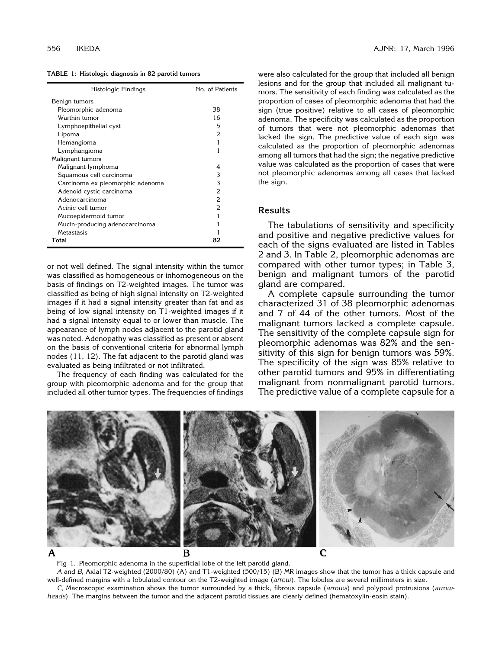| TABLE 1: Histologic diagnosis in 82 parotid tumors |  |  |
|----------------------------------------------------|--|--|
|----------------------------------------------------|--|--|

| Histologic Findings              | No. of Patients          |  |  |
|----------------------------------|--------------------------|--|--|
| Benign tumors                    |                          |  |  |
| Pleomorphic adenoma              | 38                       |  |  |
| Warthin tumor                    | 16                       |  |  |
| Lymphoepithelial cyst            | 5                        |  |  |
| Lipoma                           | 2                        |  |  |
| Hemangioma                       |                          |  |  |
| Lymphangioma                     | 1                        |  |  |
| Malignant tumors                 |                          |  |  |
| Malignant lymphoma               | 4                        |  |  |
| Squamous cell carcinoma          | 3                        |  |  |
| Carcinoma ex pleomorphic adenoma | 3                        |  |  |
| Adenoid cystic carcinoma         | 2                        |  |  |
| Adenocarcinoma                   | 2                        |  |  |
| Acinic cell tumor                | $\overline{\mathcal{L}}$ |  |  |
| Mucoepidermoid tumor             |                          |  |  |
| Mucin-producing adenocarcinoma   |                          |  |  |
| Metastasis                       |                          |  |  |
| Total                            | 82                       |  |  |

or not well defined. The signal intensity within the tumor was classified as homogeneous or inhomogeneous on the basis of findings on T2-weighted images. The tumor was classified as being of high signal intensity on T2-weighted images if it had a signal intensity greater than fat and as being of low signal intensity on T1-weighted images if it had a signal intensity equal to or lower than muscle. The appearance of lymph nodes adjacent to the parotid gland was noted. Adenopathy was classified as present or absent on the basis of conventional criteria for abnormal lymph nodes (11, 12). The fat adjacent to the parotid gland was evaluated as being infiltrated or not infiltrated.

The frequency of each finding was calculated for the group with pleomorphic adenoma and for the group that included all other tumor types. The frequencies of findings

were also calculated for the group that included all benign lesions and for the group that included all malignant tumors. The sensitivity of each finding was calculated as the proportion of cases of pleomorphic adenoma that had the sign (true positive) relative to all cases of pleomorphic adenoma. The specificity was calculated as the proportion of tumors that were not pleomorphic adenomas that lacked the sign. The predictive value of each sign was calculated as the proportion of pleomorphic adenomas among all tumors that had the sign; the negative predictive value was calculated as the proportion of cases that were not pleomorphic adenomas among all cases that lacked the sign.

## **Results**

The tabulations of sensitivity and specificity and positive and negative predictive values for each of the signs evaluated are listed in Tables 2 and 3. In Table 2, pleomorphic adenomas are compared with other tumor types; in Table 3, benign and malignant tumors of the parotid gland are compared.

A complete capsule surrounding the tumor characterized 31 of 38 pleomorphic adenomas and 7 of 44 of the other tumors. Most of the malignant tumors lacked a complete capsule. The sensitivity of the complete capsule sign for pleomorphic adenomas was 82% and the sensitivity of this sign for benign tumors was 59%. The specificity of the sign was 85% relative to other parotid tumors and 95% in differentiating malignant from nonmalignant parotid tumors. The predictive value of a complete capsule for a



Fig 1. Pleomorphic adenoma in the superficial lobe of the left parotid gland.

*A* and *B*, Axial T2-weighted (2000/80) (A) and T1-weighted (500/15) (B) MR images show that the tumor has a thick capsule and well-defined margins with a lobulated contour on the T2-weighted image (*arrow*). The lobules are several millimeters in size. *C*, Macroscopic examination shows the tumor surrounded by a thick, fibrous capsule (*arrows*) and polypoid protrusions (*arrow-*

*heads*). The margins between the tumor and the adjacent parotid tissues are clearly defined (hematoxylin-eosin stain).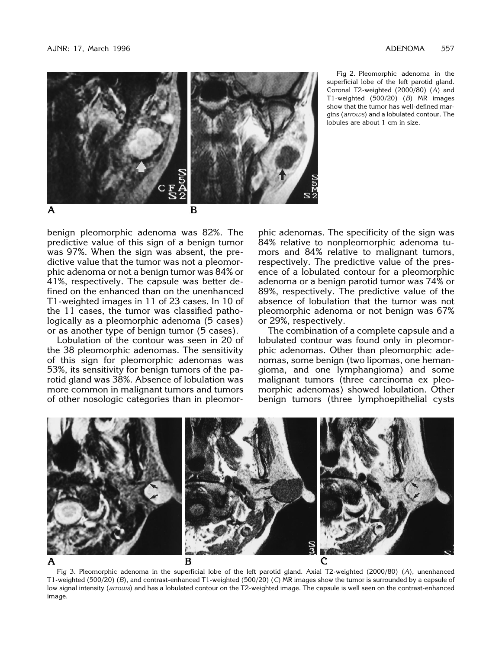

Fig 2. Pleomorphic adenoma in the superficial lobe of the left parotid gland. Coronal T2-weighted (2000/80) (*A*) and T1-weighted (500/20) (*B*) MR images show that the tumor has well-defined margins (*arrows*) and a lobulated contour. The lobules are about 1 cm in size.

benign pleomorphic adenoma was 82%. The predictive value of this sign of a benign tumor was 97%. When the sign was absent, the predictive value that the tumor was not a pleomorphic adenoma or not a benign tumor was 84% or 41%, respectively. The capsule was better defined on the enhanced than on the unenhanced T1-weighted images in 11 of 23 cases. In 10 of the 11 cases, the tumor was classified pathologically as a pleomorphic adenoma (5 cases) or as another type of benign tumor (5 cases).

Lobulation of the contour was seen in 20 of the 38 pleomorphic adenomas. The sensitivity of this sign for pleomorphic adenomas was 53%, its sensitivity for benign tumors of the parotid gland was 38%. Absence of lobulation was more common in malignant tumors and tumors of other nosologic categories than in pleomorphic adenomas. The specificity of the sign was 84% relative to nonpleomorphic adenoma tumors and 84% relative to malignant tumors, respectively. The predictive value of the presence of a lobulated contour for a pleomorphic adenoma or a benign parotid tumor was 74% or 89%, respectively. The predictive value of the absence of lobulation that the tumor was not pleomorphic adenoma or not benign was 67% or 29%, respectively.

The combination of a complete capsule and a lobulated contour was found only in pleomorphic adenomas. Other than pleomorphic adenomas, some benign (two lipomas, one hemangioma, and one lymphangioma) and some malignant tumors (three carcinoma ex pleomorphic adenomas) showed lobulation. Other benign tumors (three lymphoepithelial cysts



Fig 3. Pleomorphic adenoma in the superficial lobe of the left parotid gland. Axial T2-weighted (2000/80) (*A*), unenhanced T1-weighted (500/20) (*B*), and contrast-enhanced T1-weighted (500/20) (*C*) MR images show the tumor is surrounded by a capsule of low signal intensity (*arrows*) and has a lobulated contour on the T2-weighted image. The capsule is well seen on the contrast-enhanced image.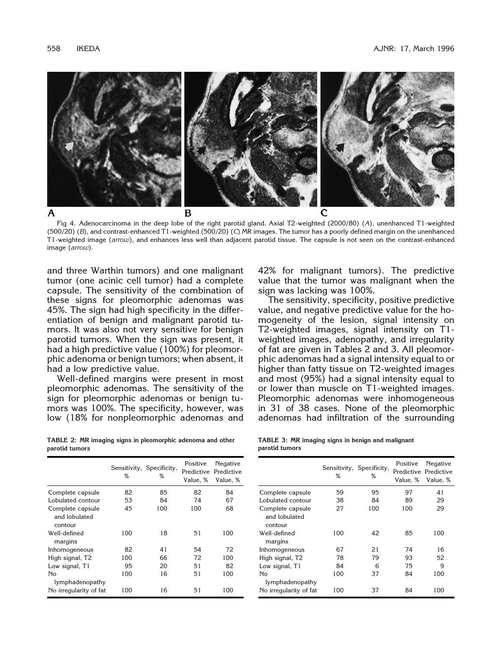

Fig 4. Adenocarcinoma in the deep lobe of the right parotid gland. Axial T2-weighted (2000/80) (*A*), unenhanced T1-weighted (500/20) (*B*), and contrast-enhanced T1-weighted (500/20) (*C*) MR images. The tumor has a poorly defined margin on the unenhanced T1-weighted image (*arrow*), and enhances less well than adjacent parotid tissue. The capsule is not seen on the contrast-enhanced image (*arrow*).

and three Warthin tumors) and one malignant tumor (one acinic cell tumor) had a complete capsule. The sensitivity of the combination of these signs for pleomorphic adenomas was 45%. The sign had high specificity in the differentiation of benign and malignant parotid tumors. It was also not very sensitive for benign parotid tumors. When the sign was present, it had a high predictive value (100%) for pleomorphic adenoma or benign tumors; when absent, it had a low predictive value.

Well-defined margins were present in most pleomorphic adenomas. The sensitivity of the sign for pleomorphic adenomas or benign tumors was 100%. The specificity, however, was low (18% for nonpleomorphic adenomas and

**TABLE 2: MR imaging signs in pleomorphic adenoma and other parotid tumors**

|                                              | ℅   | Sensitivity, Specificity,<br>℅ | Positive<br>Predictive<br>Value, % | Negative<br>Predictive<br>Value, % |
|----------------------------------------------|-----|--------------------------------|------------------------------------|------------------------------------|
| Complete capsule                             | 82  | 85                             | 82                                 | 84                                 |
| Lobulated contour                            | 53  | 84                             | 74                                 | 67                                 |
| Complete capsule<br>and lobulated<br>contour | 45  | 100                            | 100                                | 68                                 |
| Well-defined<br>margins                      | 100 | 18                             | 51                                 | 100                                |
| Inhomogeneous                                | 82  | 41                             | 54                                 | 72                                 |
| High signal, T2                              | 100 | 66                             | 72                                 | 100                                |
| Low signal, T1                               | 95  | 20                             | 51                                 | 82                                 |
| No<br>lymphadenopathy                        | 100 | 16                             | 51                                 | 100                                |
| No irregularity of fat                       | 100 | 16                             | 51                                 | 100                                |

42% for malignant tumors). The predictive value that the tumor was malignant when the sign was lacking was 100%.

The sensitivity, specificity, positive predictive value, and negative predictive value for the homogeneity of the lesion, signal intensity on T2-weighted images, signal intensity on T1 weighted images, adenopathy, and irregularity of fat are given in Tables 2 and 3. All pleomorphic adenomas had a signal intensity equal to or higher than fatty tissue on T2-weighted images and most (95%) had a signal intensity equal to or lower than muscle on T1-weighted images. Pleomorphic adenomas were inhomogeneous in 31 of 38 cases. None of the pleomorphic adenomas had infiltration of the surrounding

|                |  | TABLE 3: MR imaging signs in benign and malignant |  |  |  |  |
|----------------|--|---------------------------------------------------|--|--|--|--|
| parotid tumors |  |                                                   |  |  |  |  |

|                                              | ℅   | Sensitivity, Specificity,<br>℅ | Positive<br>Value, % | Negative<br>Predictive Predictive<br>Value, % |
|----------------------------------------------|-----|--------------------------------|----------------------|-----------------------------------------------|
| Complete capsule                             | 59  | 95                             | 97                   | 41                                            |
| Lobulated contour                            | 38  | 84                             | 89                   | 29                                            |
| Complete capsule<br>and lobulated<br>contour | 27  | 100                            | 100                  | 29                                            |
| Well-defined<br>margins                      | 100 | 42                             | 85                   | 100                                           |
| Inhomogeneous                                | 67  | 21                             | 74                   | 16                                            |
| High signal, T2                              | 78  | 79                             | 93                   | 52                                            |
| Low signal, T1                               | 84  | 6                              | 75                   | 9                                             |
| No<br>lymphadenopathy                        | 100 | 37                             | 84                   | 100                                           |
| No irregularity of fat                       | 100 | 37                             | 84                   | 100                                           |